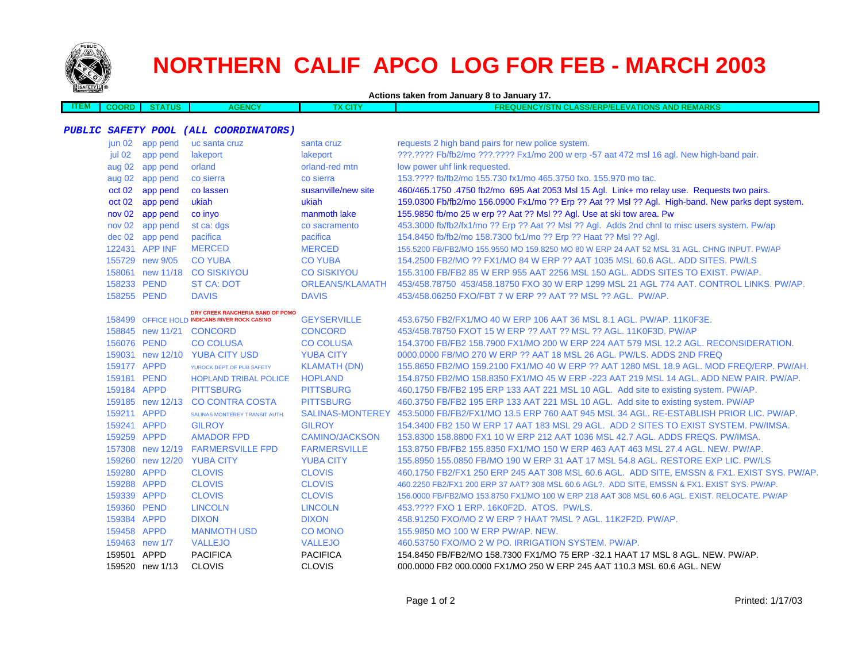

## **NORTHERN CALIF APCO LOG FOR FEB - MARCH 2003**

**Actions taken from January 8 to January 17.**

| <b>STEM</b> | COORD | <b>THE</b><br>்க | <b>AGENCY</b> | 'X CITY | <b>AND REMARKS</b><br><b>THCY/STN CLASS/ERP/ELEVATIONS AND</b><br><b>PEOUFNL</b><br>'NC |
|-------------|-------|------------------|---------------|---------|-----------------------------------------------------------------------------------------|
|             |       |                  |               |         |                                                                                         |

## **PUBLIC SAFETY POOL (ALL COORDINATORS)**

| jun 02      | app pend         | uc santa cruz                                 | santa cruz              | requests 2 high band pairs for new police system.                                                 |
|-------------|------------------|-----------------------------------------------|-------------------------|---------------------------------------------------------------------------------------------------|
| jul 02      | app pend         | lakeport                                      | lakeport                | ???.???? Fb/fb2/mo ???.???? Fx1/mo 200 w erp -57 aat 472 msl 16 agl. New high-band pair.          |
|             | aug 02 app pend  | orland                                        | orland-red mtn          | low power uhf link requested.                                                                     |
| aug 02      | app pend         | co sierra                                     | co sierra               | 153.???? fb/fb2/mo 155.730 fx1/mo 465.3750 fxo. 155.970 mo tac.                                   |
| oct 02      | app pend         | co lassen                                     | susanville/new site     | 460/465.1750 .4750 fb2/mo 695 Aat 2053 Msl 15 Agl. Link+ mo relay use. Requests two pairs.        |
| oct 02      | app pend         | ukiah                                         | ukiah                   | 159.0300 Fb/fb2/mo 156.0900 Fx1/mo ?? Erp ?? Aat ?? Msl ?? Agl. High-band. New parks dept system. |
| nov 02      | app pend         | co invo                                       | manmoth lake            | 155.9850 fb/mo 25 w erp ?? Aat ?? Msl ?? Agl. Use at ski tow area. Pw                             |
| nov 02      | app pend         | st ca: dgs                                    | co sacramento           | 453.3000 fb/fb2/fx1/mo ?? Erp ?? Aat ?? Msl ?? Agl. Adds 2nd chnl to misc users system. Pw/ap     |
|             | dec 02 app pend  | pacifica                                      | pacifica                | 154.8450 fb/fb2/mo 158.7300 fx1/mo ?? Erp ?? Haat ?? Msl ?? Agl.                                  |
|             | 122431 APP INF   | <b>MERCED</b>                                 | <b>MERCED</b>           | 155.5200 FB/FB2/MO 155.9550 MO 159.8250 MO 80 W ERP 24 AAT 52 MSL 31 AGL. CHNG INPUT. PW/AP       |
|             | 155729 new 9/05  | <b>CO YUBA</b>                                | <b>CO YUBA</b>          | 154,2500 FB2/MO ?? FX1/MO 84 W ERP ?? AAT 1035 MSL 60.6 AGL, ADD SITES, PW/LS                     |
|             |                  | 158061 new 11/18 CO SISKIYOU                  | <b>CO SISKIYOU</b>      | 155,3100 FB/FB2 85 W ERP 955 AAT 2256 MSL 150 AGL, ADDS SITES TO EXIST, PW/AP.                    |
| 158233 PEND |                  | <b>ST CA: DOT</b>                             | ORLEANS/KLAMATH         | 453/458.78750 453/458.18750 FXO 30 W ERP 1299 MSL 21 AGL 774 AAT, CONTROL LINKS, PW/AP,           |
| 158255 PEND |                  | <b>DAVIS</b>                                  | <b>DAVIS</b>            | 453/458.06250 FXO/FBT 7 W ERP ?? AAT ?? MSL ?? AGL. PW/AP.                                        |
|             |                  | DRY CREEK RANCHERIA BAND OF POMO              |                         |                                                                                                   |
|             |                  | 158499 OFFICE HOLD INDICANS RIVER ROCK CASINO | <b>GEYSERVILLE</b>      | 453.6750 FB2/FX1/MO 40 W ERP 106 AAT 36 MSL 8.1 AGL, PW/AP, 11K0F3E.                              |
|             |                  | 158845 new 11/21 CONCORD                      | <b>CONCORD</b>          | 453/458.78750 FXOT 15 W ERP ?? AAT ?? MSL ?? AGL, 11K0F3D, PW/AP                                  |
| 156076 PEND |                  | <b>CO COLUSA</b>                              | <b>CO COLUSA</b>        | 154.3700 FB/FB2 158.7900 FX1/MO 200 W ERP 224 AAT 579 MSL 12.2 AGL. RECONSIDERATION.              |
|             | 159031 new 12/10 | <b>YUBA CITY USD</b>                          | <b>YUBA CITY</b>        | 0000.0000 FB/MO 270 W ERP ?? AAT 18 MSL 26 AGL. PW/LS. ADDS 2ND FREQ                              |
| 159177 APPD |                  | YUROCK DEPT OF PUB SAFETY                     | <b>KLAMATH (DN)</b>     | 155.8650 FB2/MO 159.2100 FX1/MO 40 W ERP ?? AAT 1280 MSL 18.9 AGL, MOD FREQ/ERP, PW/AH.           |
| 159181 PEND |                  | <b>HOPLAND TRIBAL POLICE</b>                  | <b>HOPLAND</b>          | 154.8750 FB2/MO 158.8350 FX1/MO 45 W ERP -223 AAT 219 MSL 14 AGL, ADD NEW PAIR, PW/AP,            |
| 159184 APPD |                  | <b>PITTSBURG</b>                              | <b>PITTSBURG</b>        | 460.1750 FB/FB2 195 ERP 133 AAT 221 MSL 10 AGL. Add site to existing system. PW/AP.               |
|             | 159185 new 12/13 | <b>CO CONTRA COSTA</b>                        | <b>PITTSBURG</b>        | 460.3750 FB/FB2 195 ERP 133 AAT 221 MSL 10 AGL. Add site to existing system. PW/AP                |
| 159211 APPD |                  | SALINAS MONTEREY TRANSIT AUTH.                | <b>SALINAS-MONTEREY</b> | 453.5000 FB/FB2/FX1/MO 13.5 ERP 760 AAT 945 MSL 34 AGL. RE-ESTABLISH PRIOR LIC. PW/AP.            |
| 159241 APPD |                  | <b>GILROY</b>                                 | <b>GILROY</b>           | 154,3400 FB2 150 W ERP 17 AAT 183 MSL 29 AGL. ADD 2 SITES TO EXIST SYSTEM, PW/IMSA.               |
| 159259 APPD |                  | <b>AMADOR FPD</b>                             | <b>CAMINO/JACKSON</b>   | 153.8300 158.8800 FX1 10 W ERP 212 AAT 1036 MSL 42.7 AGL, ADDS FREQS, PW/IMSA.                    |
|             |                  | 157308 new 12/19 FARMERSVILLE FPD             | <b>FARMERSVILLE</b>     | 153.8750 FB/FB2 155.8350 FX1/MO 150 W ERP 463 AAT 463 MSL 27.4 AGL, NEW, PW/AP,                   |
|             |                  | 159260 new 12/20 YUBA CITY                    | <b>YUBA CITY</b>        | 155.8950 155.0850 FB/MO 190 W ERP 31 AAT 17 MSL 54.8 AGL. RESTORE EXP LIC. PW/LS                  |
| 159280 APPD |                  | <b>CLOVIS</b>                                 | <b>CLOVIS</b>           | 460.1750 FB2/FX1 250 ERP 245 AAT 308 MSL 60.6 AGL. ADD SITE, EMSSN & FX1, EXIST SYS, PW/AP.       |
| 159288 APPD |                  | <b>CLOVIS</b>                                 | <b>CLOVIS</b>           | 460.2250 FB2/FX1 200 ERP 37 AAT? 308 MSL 60.6 AGL?. ADD SITE, EMSSN & FX1. EXIST SYS. PW/AP.      |
| 159339 APPD |                  | <b>CLOVIS</b>                                 | <b>CLOVIS</b>           | 156,0000 FB/FB2/MO 153,8750 FX1/MO 100 W ERP 218 AAT 308 MSL 60.6 AGL, EXIST, RELOCATE, PW/AP     |
| 159360 PEND |                  | <b>LINCOLN</b>                                | <b>LINCOLN</b>          | 453. ???? FXO 1 ERP. 16K0F2D. ATOS. PW/LS.                                                        |
| 159384 APPD |                  | <b>DIXON</b>                                  | <b>DIXON</b>            | 458,91250 FXO/MO 2 W ERP ? HAAT ?MSL ? AGL, 11K2F2D, PW/AP.                                       |
| 159458 APPD |                  | <b>MANMOTH USD</b>                            | <b>CO MONO</b>          | 155.9850 MO 100 W ERP PW/AP. NEW.                                                                 |
|             | 159463 new 1/7   | <b>VALLEJO</b>                                | <b>VALLEJO</b>          | 460.53750 FXO/MO 2 W PO. IRRIGATION SYSTEM, PW/AP.                                                |
| 159501 APPD |                  | <b>PACIFICA</b>                               | <b>PACIFICA</b>         | 154,8450 FB/FB2/MO 158,7300 FX1/MO 75 ERP -32.1 HAAT 17 MSL 8 AGL, NEW, PW/AP,                    |
|             | 159520 new 1/13  | <b>CLOVIS</b>                                 | <b>CLOVIS</b>           | 000,0000 FB2 000,0000 FX1/MO 250 W ERP 245 AAT 110.3 MSL 60.6 AGL. NEW                            |